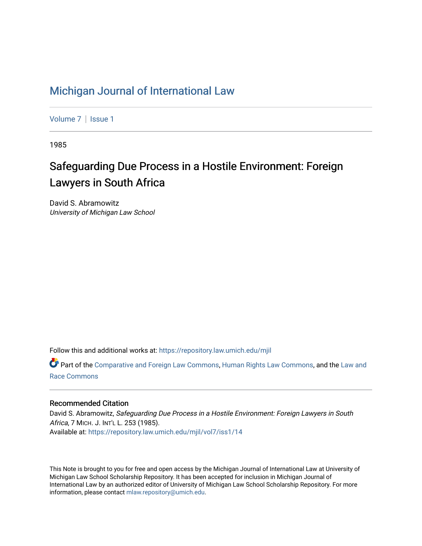## [Michigan Journal of International Law](https://repository.law.umich.edu/mjil)

[Volume 7](https://repository.law.umich.edu/mjil/vol7) | Issue 1

1985

# Safeguarding Due Process in a Hostile Environment: Foreign Lawyers in South Africa

David S. Abramowitz University of Michigan Law School

Follow this and additional works at: [https://repository.law.umich.edu/mjil](https://repository.law.umich.edu/mjil?utm_source=repository.law.umich.edu%2Fmjil%2Fvol7%2Fiss1%2F14&utm_medium=PDF&utm_campaign=PDFCoverPages) 

Part of the [Comparative and Foreign Law Commons,](http://network.bepress.com/hgg/discipline/836?utm_source=repository.law.umich.edu%2Fmjil%2Fvol7%2Fiss1%2F14&utm_medium=PDF&utm_campaign=PDFCoverPages) [Human Rights Law Commons,](http://network.bepress.com/hgg/discipline/847?utm_source=repository.law.umich.edu%2Fmjil%2Fvol7%2Fiss1%2F14&utm_medium=PDF&utm_campaign=PDFCoverPages) and the [Law and](http://network.bepress.com/hgg/discipline/1300?utm_source=repository.law.umich.edu%2Fmjil%2Fvol7%2Fiss1%2F14&utm_medium=PDF&utm_campaign=PDFCoverPages) [Race Commons](http://network.bepress.com/hgg/discipline/1300?utm_source=repository.law.umich.edu%2Fmjil%2Fvol7%2Fiss1%2F14&utm_medium=PDF&utm_campaign=PDFCoverPages) 

## Recommended Citation

David S. Abramowitz, Safeguarding Due Process in a Hostile Environment: Foreign Lawyers in South Africa, 7 MICH. J. INT'L L. 253 (1985). Available at: [https://repository.law.umich.edu/mjil/vol7/iss1/14](https://repository.law.umich.edu/mjil/vol7/iss1/14?utm_source=repository.law.umich.edu%2Fmjil%2Fvol7%2Fiss1%2F14&utm_medium=PDF&utm_campaign=PDFCoverPages) 

This Note is brought to you for free and open access by the Michigan Journal of International Law at University of Michigan Law School Scholarship Repository. It has been accepted for inclusion in Michigan Journal of International Law by an authorized editor of University of Michigan Law School Scholarship Repository. For more information, please contact [mlaw.repository@umich.edu](mailto:mlaw.repository@umich.edu).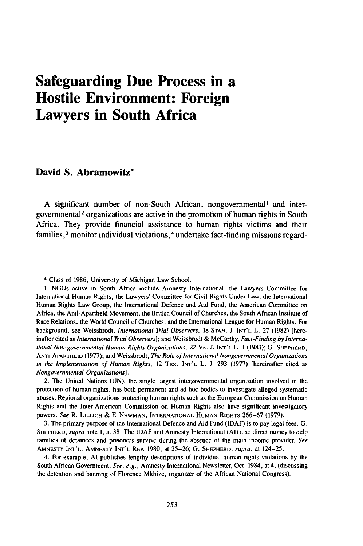## **Safeguarding Due Process in a Hostile Environment: Foreign Lawyers in South Africa**

### **David S. Abramowitz'**

**A** significant number of non-South African, nongovernmental' and intergovernmental<sup>2</sup> organizations are active in the promotion of human rights in South Africa. They provide financial assistance to human rights victims and their families,<sup>3</sup> monitor individual violations,<sup>4</sup> undertake fact-finding missions regard-

**\*** Class of **1986,** University of Michigan Law School.

**I.** NGOs active in South Africa include Amnesty International, the Lawyers Committee for International Human Rights, the Lawyers' Committee for Civil Rights Under Law, the International Human Rights Law Group, the International Defence and Aid Fund, the American Committee on Africa, the Anti-Apartheid Movement, the British Council of Churches, the South African Institute of Race Relations, the World Council of Churches, and the International League for Human Rights. For background, see Weissbrodt, International Trial Observers, **18 STAN. J.** INr'L L. **27 (1982)** [hereinafter cited as International Trial Observers]; and Weissbrodt **&** McCarthy, Fact-Finding **by** International Non-governmental Human Rights Organizations, 22 VA. **J. INT'L** L. **1 (1981); G.** SHEPHERD, **ANTI-APARTHEID (1977);** and Weissbrodt, The Role of International Nongovernmental Organizations in the Implementation of Human Rights, 12 **TEX. INT'L** L. **J. 293 (1977)** [hereinafter cited as Nongovernmental Organizations].

2. The United Nations **(UN),** the single largest intergovernmental organization involved in the protection of human rights, has both permanent and ad hoc bodies to investigate alleged systematic abuses. Regional organizations protecting human rights such as the European Commission on Human Rights and the Inter-American Commission on Human Rights also have significant investigatory powers. See R. LILLICH & E **NEWMAN, INTERNATIONAL HUMAN** RIGHTS 266-67 **(1979).**

3. The primary purpose of the International Defence and Aid Fund (IDAF) is to pay legal fees. G. SHEPHERD, supra note **I,** at **38.** The IDAF and Amnesty International **(AI)** also direct money to help families of detainees and prisoners survive during the absence of the main income provider. See **AMNESTY INT'L, AMNESTY INT'L REP. 1980,** at **25-26; G.** SHEPHERD, supra, **at** 124-25.

4. For example, **Al** publishes lengthy descriptions of individual human rights violations **by** the South African Government. See, e.g., Amnesty International Newsletter, Oct. 1984, at 4, (discussing the detention and banning of Florence Mkhize, organizer of the African National Congress).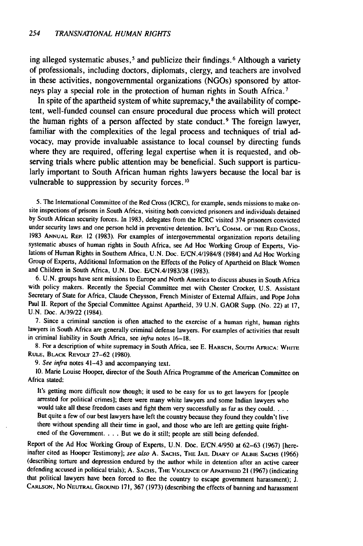ing alleged systematic abuses,<sup>5</sup> and publicize their findings.<sup>6</sup> Although a variety of professionals, including doctors, diplomats, clergy, and teachers are involved in these activities, nongovernmental organizations (NGOs) sponsored by attorneys play a special role in the protection of human rights in South Africa. <sup>7</sup>

In spite of the apartheid system of white supremacy,<sup>8</sup> the availability of competent, well-funded counsel can ensure procedural due process which will protect the human rights of a person affected by state conduct. 9 The foreign lawyer, familiar with the complexities of the legal process and techniques of trial advocacy, may provide invaluable assistance to local counsel by directing funds where they are required, offering legal expertise when it is requested, and observing trials where public attention may be beneficial. Such support is particularly important to South African human rights lawyers because the local bar is vulnerable to suppression by security forces. **' 0**

5. The International Committee of the Red Cross (ICRC), for example, sends missions to make on site inspections of prisons in South Africa, visiting both convicted prisoners and individuals detained by South African security forces. In 1983, delegates from the ICRC visited 374 prisoners convicted under security laws and one person held in preventive detention. **Iwr'L** COMM. **OF THE** RED **CROSS,** <sup>1983</sup>**ANNUAL** REP. 12 (1983). For examples of intergovernmental organization reports detailing systematic abuses of human rights in South Africa, see Ad Hoc Working Group of Experts, Violations of Human Rights in Southern Africa, U.N. Doc. E/CN.4/1984/8 (1984) and Ad Hoc Working Group of Experts, Additional Information on the Effects of the Policy of Apartheid on Black Women and Children in South Africa, U.N. Doc. E/CN.4/1983/38 (1983).

6. U.N. groups have sent missions to Europe and North America to discuss abuses in South Africa with policy makers. Recently the Special Committee met with Chester Crocker, U.S. Assistant Secretary of State for Africa, Claude Cheysson, French Minister of External Affairs, and Pope John Paul II. Report of the Special Committee Against Apartheid, 39 U.N. GAOR Supp. (No. 22) at 17, U.N. Doc. A/39/22 (1984).

7. Since a criminal sanction is often attached to the exercise of a human right, human rights lawyers in South Africa are generally criminal defense lawyers. For examples of activities that result in criminal liability in South Africa, see *infra* notes 16-18.

8. For a description of white supremacy in South Africa, see E. HARSCH, SOUTH AFICA: **WHITE** RULE, BLACK REVOLT **27-62 (1980).**

9. *See infra* notes 41-43 and accompanying text.

10. Marie Louise Hooper, director of the South Africa Programme of the American Committee on Africa stated:

It's getting more difficult now though; it used to be easy for us to get lawyers for [people arrested for political crimes]; there were many white lawyers and some Indian lawyers who would take all these freedom cases and fight them very successfully as far as they could **...** But quite a few of our best lawyers have left the country because they found they couldn't live there without spending all their time in gaol, and those who are left are getting quite frightened of the Government. . **.** . But we do it still; people are still being defended.

Report of the Ad Hoc Working Group of Experts, U.N. Doc. E/CN.4/950 at 62-63 (1967) [hereinafter cited as Hooper Testimony]; *see* also **A. SACHS, THE JAIL** DIARY **OF ALBIE SACHS** (1966) (describing torture and depression endured **by** the author while in detention after an active career defending accused in political trials); A. SACHS, THE **VIOLENCE OF** APARTHEID 21 (1967) (indicating that political lawyers have been forced to flee the country to escape government harassment); J. **CARLSON,** No **NEUTRAL GROUND** 171, 367 (1973) (describing the effects of banning and harassment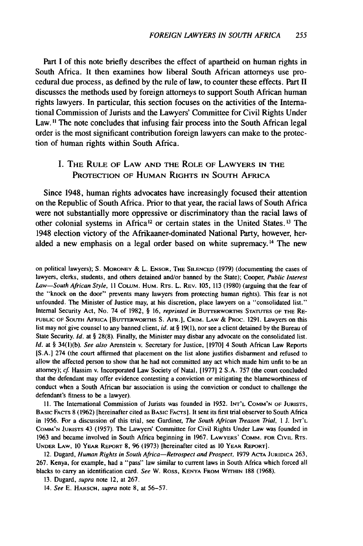Part I of this note briefly describes the effect of apartheid on human rights in South Africa. It then examines how liberal South African attorneys use procedural due process, as defined by the rule of law, to counter these effects. Part II discusses the methods used by foreign attorneys to support South African human rights lawyers. In particular, this section focuses on the activities of the International Commission of Jurists and the Lawyers' Committee for Civil Rights Under Law.<sup>11</sup> The note concludes that infusing fair process into the South African legal order is the most significant contribution foreign lawyers can make to the protection of human rights within South Africa.

## I. THE RULE OF LAW AND THE ROLE OF LAWYERS IN THE PROTECTION OF HUMAN RIGHTS IN SOUTH AFRICA

Since 1948, human rights advocates have increasingly focused their attention on the Republic of South Africa. Prior to that year, the racial laws of South Africa were not substantially more oppressive or discriminatory than the racial laws of other colonial systems in Africa<sup>12</sup> or certain states in the United States.<sup>13</sup> The 1948 election victory of the Afrikaaner-dominated National Party, however, heralded a new emphasis on a legal order based on white supremacy. **1 <sup>4</sup>**The new

on political lawyers); **S.** MORONEY & L. ENSOR, THE **SILENCED (1979)** (documenting the cases of lawyers, clerks, students, and others detained and/or banned by the State); Cooper, *Public Interest* Law-South African Style, 11 COLUM. HUM. RTS. L. REV. 105, 113 (1980) (arguing that the fear of the "knock on the door" prevents many lawyers from protecting human rights). This fear is not unfounded. The Minister of Justice may, at his discretion, place lawyers on a "consolidated list." Internal Security Act, No. 74 of 1982, § 16, *reprinted in* BUTTERWORTHS STATUTES OF THE RE-PUBLIC OF SOUTH AFRICA [BUTTERWORTHS S. AFR.], CRIM. LAW & PROC. 1291. Lawyers on this list may *noi* give counsel to any banned client, *id.* at § 19(1), nor see a client detained by the Bureau of State Security. *Id.* at § 28(8). Finally, the Minister may disbar any advocate on the consolidated list. *Id.* at § 34(1)(b). See also Arenstein v. Secretary for Justice, [1970] 4 South African Law Reports [S.A.] 274 (the court affirmed that placement on the list alone justifies disbarment and refused to allow the affected person to show that he had not committed any act which made him unfit to be an attorney); *cf* Hassim v. Incorporated Law Society of Natal, [19771 2 S.A. **757** (the court concluded that the defendant may offer evidence contesting a conviction or mitigating the blameworthiness of conduct when a South African bar association is using the conviction or conduct to challenge the defendant's fitness to be a lawyer).

II. The International Commission of Jurists was founded in 1952. **INT'L COMM'N** OF **JURISTS,** BASIC FACTS 8 (1962) [hereinafter cited as BASIC FACTS]. It sent its first trial observer to South Africa in 1956. For a discussion of this trial, see Gardiner, *The South African Treason Trial, I* J. **INT'L COMM'N JURISTS** 43 (1957). The Lawyers' Committee for Civil Rights Under Law was founded in 1963 and became involved in South Africa beginning in 1967. LAWYERS' COMM. FOR CIVIL RTS. **UNDER** LAW, **10** YEAR REPORT **8,** 96 (1973) [hereinafter cited as **10** YEAR REPORT].

12. Dugard, *Human Rights in South Africa-Retrospect and Prospect,* 1979 **ACTA JURIDICA** 263, 267. Kenya, for example, had a "pass" law similar to current laws in South Africa which forced all blacks to carry an identification card. *See* W. Ross, **KENYA** FROM WITHIN **188** (1968).

13. Dugard, *supra* note 12, at 267.

14. *See* E. HARSCH, supra note 8, at 56-57.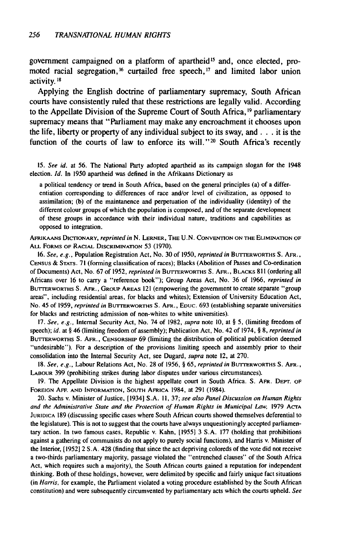government campaigned on a platform of apartheid<sup>15</sup> and, once elected, promoted racial segregation, <sup>16</sup> curtailed free speech, <sup>17</sup> and limited labor union activity. **<sup>8</sup>**

Applying the English doctrine of parliamentary supremacy, South African courts have consistently ruled that these restrictions are legally valid. According to the Appellate Division of the Supreme Court of South Africa,<sup>19</sup> parliamentary supremacy means that "Parliament may make any encroachment it chooses upon the life, liberty or property of any individual subject to its sway, and. **. .** it is the function of the courts of law to enforce its will."<sup>20</sup> South Africa's recently

15. See id. at 56. The National Party adopted apartheid as its campaign slogan for the 1948 election. **Id.** In 1950 apartheid was defined in the Afrikaans Dictionary as

a political tendency or trend in South Africa, based on the general principles (a) of a differentiation corresponding to differences of race and/or level of civilization, as opposed to assimilation; (b) of the maintanence and perpetuation of the individuality (identity) of the different colour groups of which the population is composed, and of the separate development of these groups in accordance with their individual nature, traditions and capabilities as opposed to integration.

AFRIKAANS DICTIONARY, reprinted in N. LERNER, **THE** U.N. CONVENTION **ON THE** ELIMINATION OF **ALL** FORMS OF RACIAL DISCRIMINATION 53 (1970).

**16.** See, e.g., Population Registration Act, No. **30** of 1950, reprinted in BUTTERWORTHs S. **AFR.,** CENSUS & **STATS. 71** (forming classification of races); Blacks (Abolition of Passes and Co-ordination of Documents) Act, No. **67** of **1952,** reprinted in **BUTTERWORTHS S.** AFR., BLACKS **811** (ordering all Africans over **16** to carry a "reference book"); Group Areas Act, No. **36** of **1966,** reprinted in BUTERWORTHS S. AFR., GROUP **AREAS** 121 (empowering the government to create separate "group areas", including residential areas, for blacks and whites); Extension of University Education Act, No. 45 of 1959, reprinted in BUTTERWORTHS **S. AFR., EDUC. 693** (establishing separate universities for blacks and restricting admission of non-whites to white universities).

**17.** See, e.g., Internal Security Act, No. 74 of **1982,** supra note **10,** at § **5,** (limiting freedom of speech); id. at § 46 (limiting freedom of assembly); Publication Act, No. 42 of 1974, § 8, reprinted in BUTTERWORTHS S. AFR., CENSORSHIP 69 (limiting the distribution of political publication deemed "undesirable"). For a description of the provisions limiting speech and assembly prior to their consolidation into the Internal Security Act, see Dugard, supra note 12, at **270.**

**18.** See, e.g., Labour Relations Act, No. **28** of 1956, § 65, reprinted in **BU'TERWORTHS** S. APR., **LABOUR 399** (prohibiting strikes during labor disputes under various circumstances).

**19.** The Appellate Division is the highest appellate court in South Africa. S. AFR. DEPT. OF **FOREIGN AFF. AND** INFORMATION, SOUTH AFRICA 1984, at **291** (1984).

20. Sachs v. Minister of Justice, [1934] S.A. **i1, 37;** see also Panel Discussion on Human Rights and the Administrative State and the Protection of Human Rights in Municipal *Law,* 1979 ACTA **JURIDICA 189** (discussing specific cases where South African courts showed themselves deferential to the legislature). This is not to suggest that the courts have always unquestioningly accepted parliamentary action. In two famous cases, Republic v. Kahn, **[19551 3** S.A. **177** (holding that prohibitions against a gathering of communists do not apply to purely social functions), and Harris v. Minister of the Interior, [ 1952] 2 S.A. 428 (finding that since the act depriving coloreds of the vote did not receive a two-thirds parliamentary majority, passage violated the "entrenched clauses" of the South Africa Act, which requires such a majority), the South African courts gained a reputation for independent thinking. Both of these holdings, however, were delimited by specific and fairly unique fact situations (in Harris, for example, the Parliament violated a voting procedure established by the South African constitution) and were subsequently circumvented **by** parliamentary acts which the courts upheld. *See*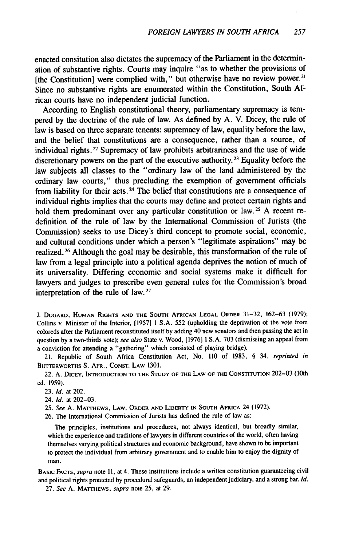enacted consitution also dictates the supremacy of the Parliament in the determination of substantive rights. Courts may inquire "as to whether the provisions of [the Constitution] were complied with," but otherwise have no review power.<sup>21</sup> Since no substantive rights are enumerated within the Constitution, South African courts have no independent judicial function.

According to English constitutional theory, parliamentary supremacy is tempered by the doctrine of the rule of law. As defined by A. V. Dicey, the rule of law is based on three separate tenents: supremacy of law, equality before the law, and the belief that constitutions are a consequence, rather than a source, of individual rights. 22 Supremacy of law prohibits arbitrariness and the use of wide discretionary powers on the part of the executive authority. **23** Equality before the law subjects all classes to the "ordinary law of the land administered by the ordinary law courts," thus precluding the exemption of government officials from liability for their acts. 24 The belief that constitutions are a consequence of individual rights implies that the courts may define and protect certain rights and hold them predominant over any particular constitution or law. **25** A recent redefinition of the rule of law by the International Commission of Jurists (the Commission) seeks to use Dicey's third concept to promote social, economic, and cultural conditions under which a person's "legitimate aspirations" may be realized.<sup>26</sup> Although the goal may be desirable, this transformation of the rule of law from a legal principle into a political agenda deprives the notion of much of its universality. Differing economic and social systems make it difficult for lawyers and judges to prescribe even general rules for the Commission's broad interpretation of the rule of law. **27**

**J. DUGARD, HUMAN** RIGHTS **AND THE** SOUTH **AFRICAN LEGAL ORDER 31-32, 162-63** (1979); Collins v. Minister of the Interior, [19571 **1** S.A. 552 (upholding the deprivation of the vote from coloreds after the Parliament reconstituted itself **by** adding 40 new senators and then passing the act in question **by** a two-thirds vote); see also State v. Wood, [1976] **1 S.A. 703** (dismissing an appeal from a conviction for attending a "gathering" which consisted of playing bridge).

21. Republic of South Africa Constitution Act, No. 110 of 1983, § 34, *reprinted in* BUTTERWORTHS S. **AFR.,** CONST. LAW 1301.

22. A. **DICEY,** INTRODUCTION TO **THE STUDY OF THE** LAW **OF THE** CONSTITUTION 202-03 (10th ed. 1959).

23. *Id.* at 202.

24. *Id.* at 202-03.

25. *See* A. MATTHEWS, LAW, **ORDER AND LIBERTY IN SOUTH** AFRICA 24 (1972).

26. The International Commission of Jurists has defined the rule of law as:

The principles, institutions and procedures, not always identical, but broadly similar, which the experience and traditions of lawyers in different countries of the world, often having themselves varying political structures and economic background, have shown to be important to protect the individual from arbitrary government and to enable him to enjoy the dignity of man.

BASIC FACTS, supra note **11,** at 4. These institutions include a written constitution guaranteeing civil and political rights protected by procedural safeguards, an independent judiciary, and a strong bar. *Id.*

27. See A. MATTHEWS, *supra* note 25, at 29.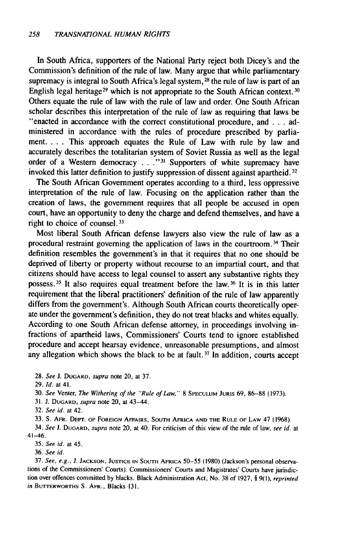In South Africa, supporters of the National Party reject both Dicey's and the Commission's definition of the rule of law. Many argue that while parliamentary supremacy is integral to South Africa's legal system,  $^{28}$  the rule of law is part of an English legal heritage<sup>29</sup> which is not appropriate to the South African context.<sup>30</sup> Others equate the rule of law with the rule of law and order. One South African scholar describes this interpretation of the rule of law as requiring that laws be "enacted in accordance with the correct constitutional procedure, and **...** administered in accordance with the rules of procedure prescribed by parliament. . **.** . This approach equates the Rule of Law with rule by law and accurately describes the totalitarian system of Soviet Russia as well as the legal order of a Western democracy . . .<sup>"31</sup> Supporters of white supremacy have invoked this latter definition to justify suppression of dissent against apartheid. <sup>32</sup>

The South African Government operates according to a third, less oppressive interpretation of the rule of law. Focusing on the application rather than the creation of laws, the government requires that all people be accused in open court, have an opportunity to deny the charge and defend themselves, and have a right to choice of counsel. <sup>33</sup>

Most liberal South African defense lawyers also view the rule of law as a procedural restraint governing the application of laws in the courtroom. 34 Their definition resembles the government's in that it requires that no one should be deprived of liberty or property without recourse to an impartial court, and that citizens should have access to legal counsel to assert any substantive rights they possess.  $35$  It also requires equal treatment before the law.  $36$  It is in this latter requirement that the liberal practitioners' definition of the rule of law apparently differs from the government's. Although South African courts theoretically operate under the government's definition, they do not treat blacks and whites equally. According to one South African defense attorney, in proceedings involving infractions of apartheid laws, Commissioners' Courts tend to ignore established procedure and accept hearsay evidence, unreasonable presumptions, and almost any allegation which shows the black to be at fault. **17** In addition, courts accept

28. See **J. DUGARD,** supra note 20, at 37.

29. Id. at 41.

30. See Venter, The Withering of the "Rule of Law," 8 **SPECULUM** JURIS **69,** 86-88 (1973).

31. J. **DUGARD,** supra note 20, at 43-44.

32. See id. at 42.

33. S. AFR. DEPT. OF **FOREIGN** AFFAIRS, **SOUTH** AFRICA **AND THE** RULE OF **LAW** 47 (1968). 34. See J. **DUGARD,** supra note 20, at 40. For criticism of this view of the rule of law, see id. at 41-46.

35. See id. at 45.

36. See id.

37. See, e.g., J. **JACKSON, JUSTICE IN SOUTH** AFRICA 50-55 (1980) (Jackson's personal observations of the Commissioners' Courts). Commissioners' Courts and Magistrates' Courts have jurisdiction over offences committed by blacks. Black Administration Act, No. 38 of 1927, § 9(1), reprinted in BUTrERWORTHS S. AFR., Blacks 131.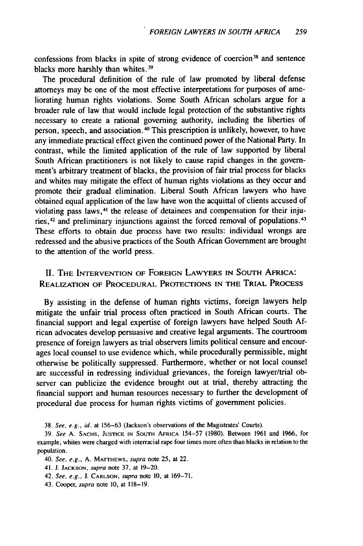confessions from blacks in spite of strong evidence of coercion<sup>38</sup> and sentence blacks more harshly than whites.<sup>39</sup>

The procedural definition of the rule of law promoted by liberal defense attorneys may be one of the most effective interpretations for purposes of ameliorating human rights violations. Some South African scholars argue for a broader rule of law that would include legal protection of the substantive rights necessary to create a rational governing authority, including the liberties of person, speech, and association. **40** This prescription is unlikely, however, to have any immediate practical effect given the continued power of the National Party. In contrast, while the limited application of the rule of law supported by liberal South African practitioners is not likely to cause rapid changes in the government's arbitrary treatment of blacks, the provision of fair trial process for blacks and whites may mitigate the effect of human rights violations as they occur and promote their gradual elimination. Liberal South African lawyers who have obtained equal application of the law have won the acquittal of clients accused of violating pass laws, 4' the release of detainees and compensation for their injuries,42 and preliminary injunctions against the forced removal of populations. <sup>43</sup> These efforts to obtain due process have two results: individual wrongs are redressed and the abusive practices of the South African Government are brought to the attention of the world press.

## II. THE INTERVENTION OF FOREIGN LAWYERS IN **SOUTH** AFRICA: REALIZATION OF PROCEDURAL PROTECTIONS **IN** THE TRIAL **PROCESS**

**By** assisting in the defense of human rights victims, foreign lawyers help mitigate the unfair trial process often practiced in South African courts. The financial support and legal expertise of foreign lawyers have helped South **Af**rican advocates develop persuasive and creative legal arguments. The courtroom presence of foreign lawyers as trial observers limits political censure and encourages local counsel to use evidence which, while procedurally permissible, might otherwise be politically suppressed. Furthermore, whether or not local counsel are successful in redressing individual grievances, the foreign lawyer/trial observer can publicize the evidence brought out at trial, thereby attracting the financial support and human resources necessary to further the development of procedural due process for human rights victims of government policies.

**38.** *See, e.g.,* id. at **156-63** (Jackson's observations of the Magistrates' Courts).

**<sup>39.</sup>** *See* **A. SACHS, JUSTICE IN SOUTH AFRICA 154-57 (1980).** Between **1961** and 1966, for example, whites were charged with interracial rape four times more often than blacks in relation to the population.

*<sup>40.</sup>* See, e.g., **A. MATTHEWS,** supra **note 25, at** 22.

<sup>41.</sup> **J. JACKSON,** supra **note 37,** at **19-20.**

<sup>42.</sup> *See,* e.g., **J. CARLSON,** supra note **10,** at **169-71.**

<sup>43.</sup> Cooper, supra note **10,** at **118-19.**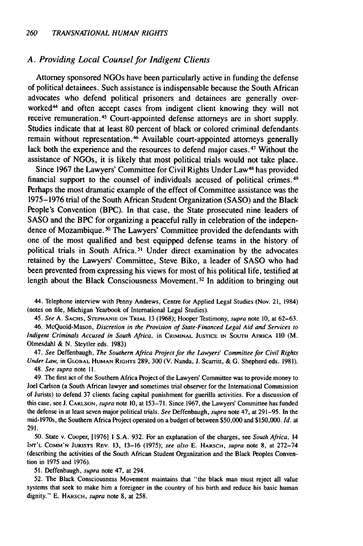### *A. Providing Local Counsel for Indigent Clients*

Attorney sponsored NGOs have been particularly active in funding the defense of political detainees. Such assistance is indispensable because the South African advocates who defend political prisoners and detainees are generally overworked<sup>44</sup> and often accept cases from indigent client knowing they will not receive remuneration. 45 Court-appointed defense attorneys are in short supply. Studies indicate that at least 80 percent of black or colored criminal defendants remain without representation. 46 Available court-appointed attorneys generally lack both the experience and the resources to defend major cases.<sup>47</sup> Without the assistance of NGOs, it is likely that most political trials would not take place.

Since 1967 the Lawyers' Committee for Civil Rights Under Law<sup>48</sup> has provided financial support to the counsel of individuals accused of political crimes. <sup>49</sup> Perhaps the most dramatic example of the effect of Committee assistance was the 1975-1976 trial of the South African Student Organization (SASO) and the Black People's Convention (BPC). In that case, the State prosecuted nine leaders of SASO and the BPC for organizing a peaceful rally in celebration of the independence of Mozambique. **50** The Lawyers' Committee provided the defendants with one of the most qualified and best equipped defense teams in the history of political trials in South Africa.<sup>51</sup> Under direct examination by the advocates retained by the Lawyers' Committee, Steve Biko, a leader of SASO who had been prevented from expressing his views for most of his political life, testified at length about the Black Consciousness Movement. 52 In addition to bringing out

44. Telephone interview with Penny Andrews, Centre for Applied Legal Studies (Nov. 21, 1984) (notes on file, Michigan Yearbook of International Legal Studies).

45. *See* A. **SACHS, STEPHANIE ON** TRIAL **13** (1968); Hooper Testimony, *supra* note 10, at 62-63.

46. McQuoid-Mason, *Discretion in the Provision of State-Financed Legal Aid and Services to Indigent Criminals Accused in South Africa,* in CRIMINAL **JUSTICE IN SOUTH** AFRICA **110** (M. Olmesdahl & N. Steytler eds. 1983)

47. *See* Deffenbaugh, *The Southern Africa Project* for the Lawyers' Committee for Civil Rights Under Law, in GLOBAL **HUMAN** RiGHTs 289, 300 (V. Nanda, **J.** Scarritt, & G. Shepherd eds. 1981). 48. See supra note II.

49. The first act of the Southern Africa Project of the Lawyers' Committee was to provide money to Joel Carlson (a South African lawyer and sometimes trial observer for the International Commission of Jurists) to defend 37 clients facing capital punishment for guerilla activities. For a discussion of this case, see J. **CAR.SON,** supra note **10,** at 153-71. Since 1967, the Lawyers' Committee has funded the defense in at least seven major political trials. See Deffenbaugh, *supra* note 47, at 291-95. In the mid-1970s, the Southern Africa Project operated on a budget of between \$50,000 and \$150,000. **Id.** at 291.

50. State v. Cooper, [1976] 1 S.A. 932. For an explanation of the charges, see South Africa, 14 **INT'L COMM'N JURISTS** REV. 13, 13-16 (1975); *see* also E. **HARSCH,** supra note 8, at 272-74 (describing the activities of the South African Student Organization and the Black Peoples Convention in 1975 and 1976).

**51.** Deffenbaugh, supra note 47, at 294.

52. The Black Consciousness Movement maintains that "the black man must reject all value systems that seek to make him a foreigner in the country of his birth and reduce his basic human dignity." E. HARSCH, supra note 8, at 258.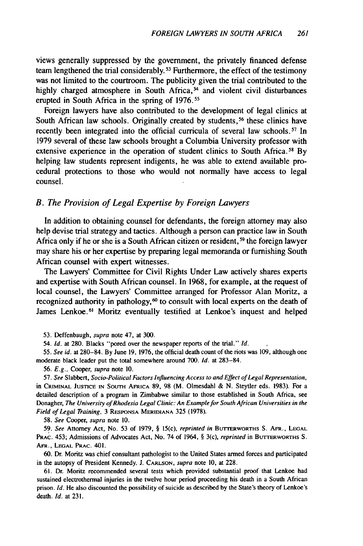views generally suppressed **by** the government, the privately financed defense team lengthened the trial considerably. **13** Furthermore, the effect of the testimony was not limited to the courtroom. The publicity given the trial contributed to the highly charged atmosphere in South Africa,<sup>54</sup> and violent civil disturbances erupted in South Africa in the spring of 1976.<sup>55</sup>

Foreign lawyers have also contributed to the development of legal clinics at South African law schools. Originally created by students,<sup>56</sup> these clinics have recently been integrated into the official curricula of several law schools.<sup>57</sup> In 1979 several of these law schools brought a Columbia University professor with extensive experience in the operation of student clinics to South Africa.<sup>58</sup> By helping law students represent indigents, he was able to extend available procedural protections to those who would not normally have access to legal counsel.

### *B. The Provision of Legal Expertise by Foreign Lawyers*

In addition to obtaining counsel for defendants, the foreign attorney may also help devise trial strategy and tactics. Although a person can practice law in South Africa only if he or she is a South African citizen or resident,<sup>59</sup> the foreign lawyer may share his or her expertise by preparing legal memoranda or furnishing South African counsel with expert witnesses.

The Lawyers' Committee for Civil Rights Under Law actively shares experts and expertise with South African counsel. In 1968, for example, at the request of local counsel, the Lawyers' Committee arranged for Professor Alan Moritz, a recognized authority in pathology,<sup>60</sup> to consult with local experts on the death of James Lenkoe.<sup>61</sup> Moritz eventually testified at Lenkoe's inquest and helped

53. Deffenbaugh, *supra* note 47, at 300.

54. *Id.* at 280. Blacks "pored over the newspaper reports of the trial." *Id.*

55. *See id.* at 280-84. By June 19, 1976, the official death count of the riots was 109, although one moderate black leader put the total somewhere around 700. *Id.* at 283-84.

56. *E.g.,* Cooper, *supra* note 10.

57. *See* Slabbert, *Socio-Political Factors Influencing Access to and Effect of Legal Representation,* in CRIMINAL **JUSTICE** IN **SOUTH** AFRICA 89, 98 (M. Olmesdahl & **N.** Steytler eds. 1983). For a detailed description of a program in Zimbabwe similar to those established in South Africa, see Donagher, *The University of Rhodesia Legal* Clinic: An Example for South *African Universities in the Field of Legal Training,* 3 RESPONSA **MERIDIANA** 325 (1978).

**58.** *See* Cooper, *supra* note 10.

59. *See* Attorney Act, No. **53** of 1979, § 15(c), *reprinted in* BUTTERWORTHS S. AFR., LEGAL PRAC. 453; Admissions of Advocates Act, No. 74 of 1964, § 3(c), *reprinted* in BUTrERWORTHS S. APR., **LEGAL** PRAC. 401.

60. Dr. Moritz was chief consultant pathologist to the United States armed forces and participated in the autopsy of President Kennedy. J. **CARLSON,** *supra* note 10, at 228.

61. Dr. Moritz recommended several tests which provided substantial proof that Lenkoe had sustained electrothermal injuries in the twelve hour period proceeding his death in a South African prison. *Id.* He also discounted the possibility of suicide as described by the State's theory of Lenkoe's death. *Id.* at 231.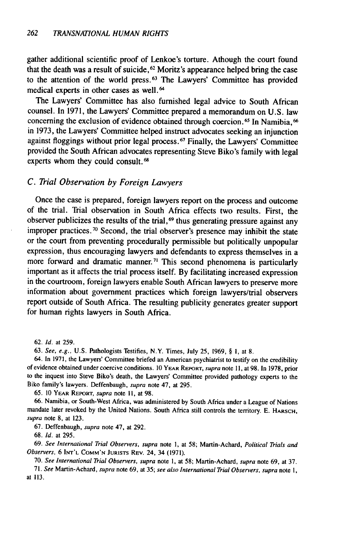gather additional scientific proof of Lenkoe's torture. Athough the court found that the death was a result of suicide, 62 Moritz's appearance helped bring the case to the attention of the world press.<sup>63</sup> The Lawyers' Committee has provided medical experts in other cases as well.<sup>64</sup>

The Lawyers' Committee has also furnished legal advice to South African counsel. In 1971, the Lawyers' Committee prepared a memorandum on U.S. law concerning the exclusion of evidence obtained through coercion.<sup>65</sup> In Namibia,<sup>66</sup> in 1973, the Lawyers' Committee helped instruct advocates seeking an injunction against floggings without prior legal process.<sup>67</sup> Finally, the Lawyers' Committee provided the South African advocates representing Steve Biko's family with legal experts whom they could consult.<sup>68</sup>

#### *C. Trial Observation by Foreign Lawyers*

Once the case is prepared, foreign lawyers report on the process and outcome of the trial. **Trial** observation in South Africa effects two results. First, the observer publicizes the results of the trial, <sup>69</sup> thus generating pressure against any improper practices.<sup>70</sup> Second, the trial observer's presence may inhibit the state or the court from preventing procedurally permissible but politically unpopular expression, thus encouraging lawyers and defendants to express themselves in a more forward and dramatic manner.<sup>71</sup> This second phenomena is particularly important as it affects the trial process itself. By facilitating increased expression in the courtroom, foreign lawyers enable South African lawyers to preserve more information about government practices which foreign lawyers/trial observers report outside of South Africa. The resulting publicity generates greater support for human rights lawyers in South Africa.

63. See, e.g., U.S. Pathologists Testifies, N.Y. Times, July 25, 1969, § i, at 8.

64. In 1971, the Lawyers' Committee briefed an American psychiatrist to testify on the credibility of evidence obtained under coercive conditions. 10 YEAR REPORT, supra note 11, at 98. In 1978, prior to the inquest into Steve Biko's death, the Lawyers' Committee provided pathology experts to the Biko family's lawyers. Deffenbaugh, supra note 47, at 295.

65. 10 YEAR REPORT, supra note II, at 98.

66. Namibia, or South-West Africa, was administered by South Africa under a League of Nations mandate later revoked by the United Nations. South Africa still controls the territory. E. HARSCH, supra note 8, at 123.

67. Deffenbaugh, supra note 47, at 292.

68. *Id.* at 295.

69. *See International Trial Observers,* supra note **1,** at 58; Martin-Achard, *Political Trials and* Observers, 6 **lNr'L COMM'N** JURISTS REV. 24, 34 (1971).

70. *See International Trial* Observers, supra note 1, at 58; Martin-Achard, *supra* note 69, at 37.

71. *See* Martin-Achard, *supra* note 69, at 35; *see also International Trial Observers, supra* note I, at **113.**

<sup>62.</sup> *Id.* at 259.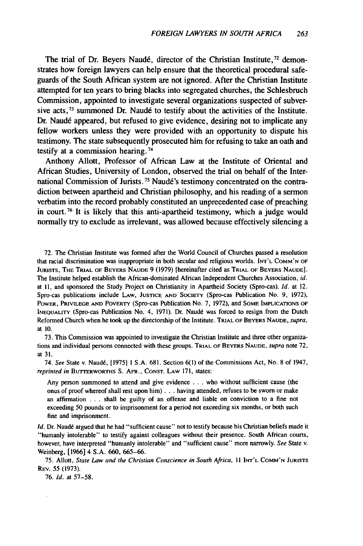The trial of Dr. Beyers Naudé, director of the Christian Institute,<sup>72</sup> demonstrates how foreign lawyers can help ensure that the theoretical procedural safeguards of the South African system are not ignored. After the Christian Institute attempted for ten years to bring blacks into segregated churches, the Schlesbruch Commission, appointed to investigate several organizations suspected of subversive acts,  $73$  summoned Dr. Naudé to testify about the activities of the Institute. Dr. Naudé appeared, but refused to give evidence, desiring not to implicate any fellow workers unless they were provided with an opportunity to dispute his testimony. The state subsequently prosecuted him for refusing to take an oath and testify at a commission hearing. <sup>74</sup>

Anthony Allott, Professor of African Law at the Institute of Oriental and African Studies, University of London, observed the trial on behalf of the International Commission of Jurists.<sup>75</sup> Naudé's testimony concentrated on the contradiction between apartheid and Christian philosophy, and his reading of a sermon verbatim into the record probably constituted an unprecedented case of preaching in court. 76 It is likely that this anti-apartheid testimony, which a judge would normally try to exclude as irrelevant, was allowed because effectively silencing a

72. The Christian Institute was formed after the World Council of Churches passed a resolution that racial discrimination was inappropriate in both secular and religious worlds. **INT'L** COMM'N **OF JURISTS,** THE TRIAL OF BEYERS **NAUDE** 9 (1979) [hereinafter cited as TRIAL **OF** BEYERS **NAUDE].** The Institute helped establish the African-dominated African Independent Churches Association, id. at **II,** and sponsored the Study Project on Christianity in Apartheid Society (Spro-cas). **id.** at 12. Spro-cas publications include LAW, **JUSTICE AND** SOCIETY (Spro-cas Publication No. 9, 1972), **POWER,** PRIVILEoE **AND** POVERTY (Spro-cas Publication No. **7,** 1972), and SOME IMPLICATIONS OF INEQUALITY (Spro-cas Publication No. 4, 1971). Dr. Naudé was forced to resign from the Dutch Reformed Church when he took up the directorship of the Institute. TRIAL OF BEYERS **NAUDE,** *supra,* at **10.**

**73.** This Commission was appointed to investigate the Christian Institute and three other organizations and individual persons connected with these groups. TRIAL **OF BEYERS NAUDE,** supra note **72,** at **31.**

74. See State v. Naudd, **[1975] 1 S.A. 681.** Section **6(1)** of the Commissions Act, No. **8** of 1947, reprinted in BUrrERWORTHS **S.** AFR., CONST. LAW **171,** states:

Any person summoned to attend and give evidence **.** . . who without sufficient cause (the onus of proof whereof shall rest upon him) **...** having attended, refuses to be **sworn** or make an affirmation . . . shall be guilty of an offense and liable on conviction to a fine not exceeding **50** pounds or to imprisonment for a period not exceeding six months, or both such fine and imprisonment.

Id. Dr. Naudé argued that he had "sufficient cause" not to testify because his Christian beliefs made it "humanly intolerable" to testify against colleagues without their presence. South African courts, however, have interpreted "humanly intolerable" and "sufficient cause" more narrowly. See State v. Weinberg, **[1966]** 4 **S.A. 660, 665-66.**

**75.** Allott, State Law and the Christian Conscience in South Africa, *11* **INT'L COMM'N JURISTS REV. 55 (1973).**

**76. Id.** at **57-58.**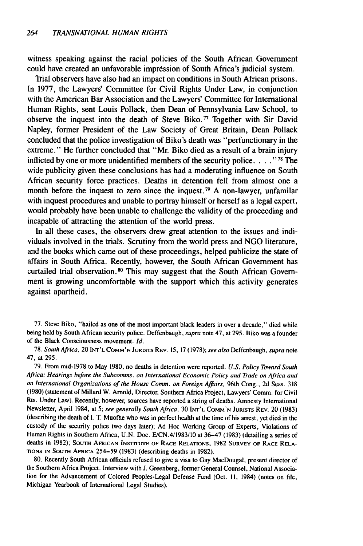witness speaking against the racial policies of the South African Government could have created an unfavorable impression of South Africa's judicial system.

Trial observers have also had an impact on conditions in South African prisons. In 1977, the Lawyers' Committee for Civil Rights Under Law, in conjunction with the American Bar Association and the Lawyers' Committee for International Human Rights, sent Louis Pollack, then Dean of Pennsylvania Law School, to observe the inquest into the death of Steve Biko. 77 Together with Sir David Napley, former President of the Law Society of Great Britain, Dean Pollack concluded that the police investigation of Biko's death was "perfunctionary in the extreme." He further concluded that "Mr. Biko died as a result of a brain injury inflicted by one or more unidentified members of the security police...  $\cdot$ ,  $\cdot$ <sup>78</sup> The wide publicity given these conclusions has had a moderating influence on South African security force practices. Deaths in detention fell from almost one a month before the inquest to zero since the inquest.<sup>79</sup> A non-lawyer, unfamilar with inquest procedures and unable to portray himself or herself as a legal expert, would probably have been unable to challenge the validity of the proceeding and incapable of attracting the attention of the world press.

In all these cases, the observers drew great attention to the issues and individuals involved in the trials. Scrutiny from the world press and NGO literature, and the books which came out of these proceedings, helped publicize the state of affairs in South Africa. Recently, however, the South African Government has curtailed trial observation.<sup>80</sup> This may suggest that the South African Government is growing uncomfortable with the support which this activity generates against apartheid.

78. South Africa, 20 **INT'L COMM'N** JURISTS REV. 15, 17 (1978); see also Deffenbaugh, supra note 47, at 295.

79. From mid-1978 to May 1980, no deaths in detention were reported. U.S. Policy Toward South *Africa: Hearings* before the Subcomms. on International Economic *Policy and Trade on Africa and on International Organizations of the House Comm. on Foreign Affairs,* 96th Cong., 2d Sess. 318 (1980) (statement of Millard W. Arnold, Director, Southern Africa Project, Lawyers' Comm. for Civil Rts. Under Law). Recently, however, sources have reported a string of deaths. Amnesty International Newsletter, April 1984, at 5; *see generally South Africa,* 30 **INT'L** COMM'N JURISTS REV. 20 (1983) (describing the death of **1. 1** Muofhe who was in perfect health at the time of his arrest, yet died in the custody of the security police two days later); Ad Hoc Working Group of Experts, Violations of Human Rights in Southern Africa, U.N. Doc. E/CN.4/1983/10 at 36-47 (1983) (detailing a series of deaths in 1982); **SOUTH AFRICAN INSTITUTE** OF RACE **RELATIONS, 1982** SURVEY OF RACE RELA-TIONS **IN SOUTH** AFRICA 254-59 (1983) (describing deaths in 1982).

80. Recently South African officials refused to give a visa to Gay MacDougal, present director of the Southern Africa Project. Interview with J. Greenberg, former General Counsel, National Association for the Advancement of Colored Peoples-Legal Defense Fund (Oct. **11,** 1984) (notes on file, Michigan Yearbook of International Legal Studies).

<sup>77.</sup> Steve Biko, "hailed as one of the most important black leaders in over a decade," died while being held by South African security police. Deffenbaugh, supra note 47, at 295. Biko was a founder of the Black Consciousness movement. **Id.**